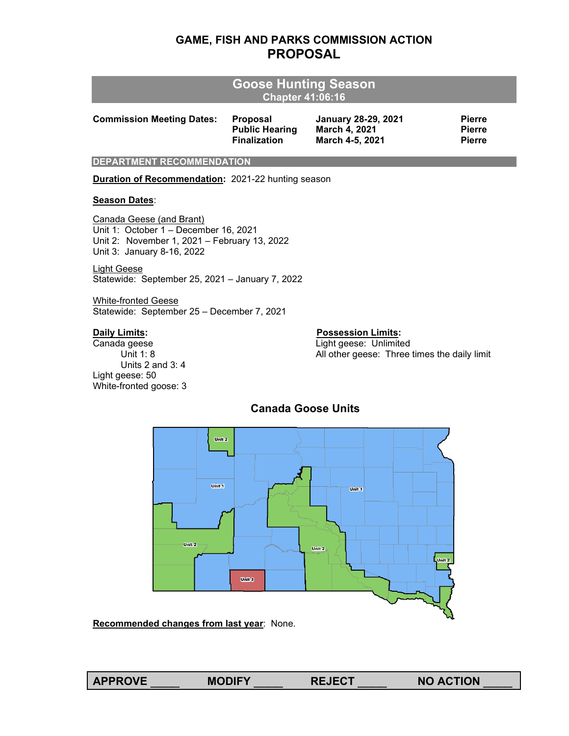## **GAME, FISH AND PARKS COMMISSION ACTION PROPOSAL**

|                                  | Goose Hunting Season<br><b>Chapter 41:06:16</b> |                            |               |  |  |  |  |  |  |
|----------------------------------|-------------------------------------------------|----------------------------|---------------|--|--|--|--|--|--|
| <b>Commission Meeting Dates:</b> | <b>Proposal</b>                                 | <b>January 28-29, 2021</b> | <b>Pierre</b> |  |  |  |  |  |  |
|                                  | <b>Public Hearing</b>                           | March 4, 2021              | <b>Pierre</b> |  |  |  |  |  |  |
|                                  | <b>Finalization</b>                             | March 4-5, 2021            | <b>Pierre</b> |  |  |  |  |  |  |

**DEPARTMENT RECOMMENDATION**

**Duration of Recommendation:** 2021-22 hunting season

#### **Season Dates**:

Canada Geese (and Brant) Unit 1: October 1 – December 16, 2021 Unit 2: November 1, 2021 – February 13, 2022 Unit 3: January 8-16, 2022

Light Geese Statewide: September 25, 2021 – January 7, 2022

White-fronted Geese Statewide: September 25 – December 7, 2021

Units 2 and 3: 4 Light geese: 50 White-fronted goose: 3

#### **Daily Limits: Possession Limits:**

Canada geese **Light geese**: Unlimited Unit 1: 8 Contract Muslim 2011 All other geese: Three times the daily limit



## **Canada Goose Units**

**Recommended changes from last year**: None.

**APPROVE** \_\_\_\_ **MODIFY** \_\_\_\_ **REJECT** \_\_\_\_ **NO ACTION** \_\_\_\_